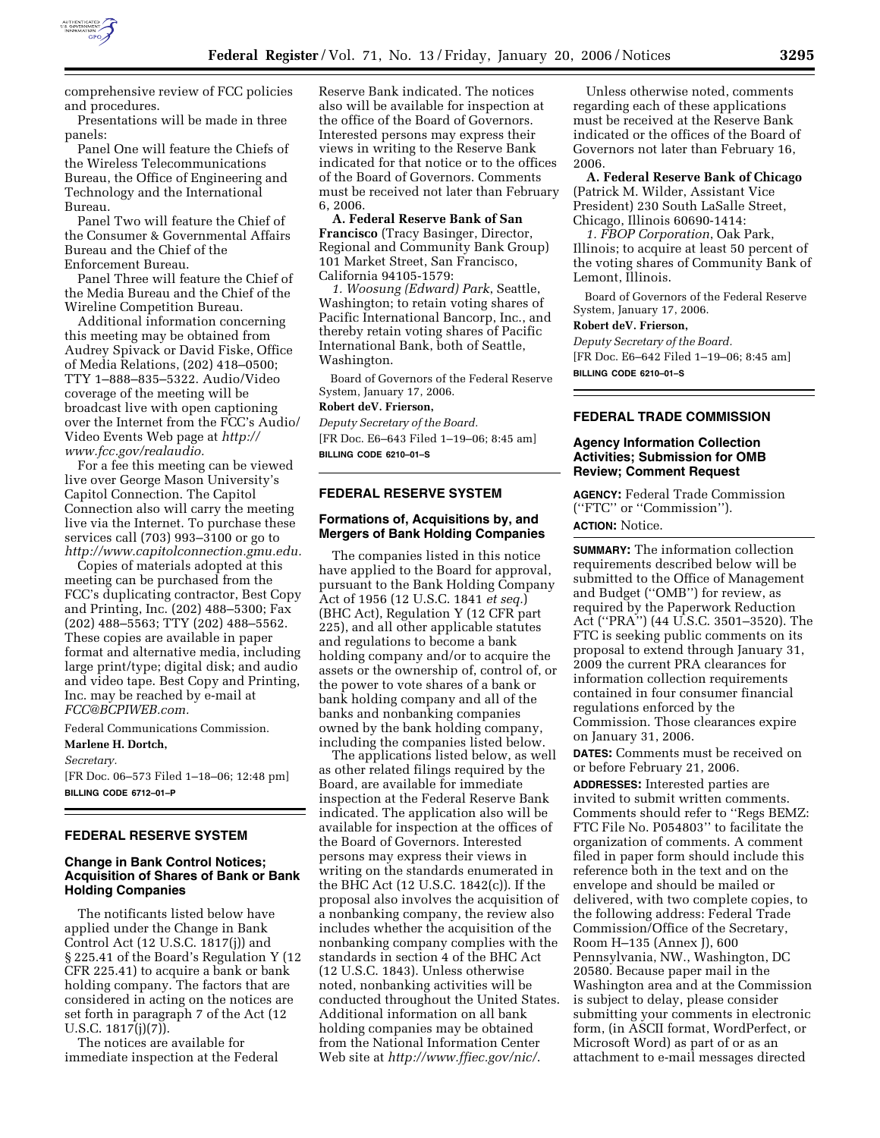

comprehensive review of FCC policies and procedures.

Presentations will be made in three panels:

Panel One will feature the Chiefs of the Wireless Telecommunications Bureau, the Office of Engineering and Technology and the International Bureau.

Panel Two will feature the Chief of the Consumer & Governmental Affairs Bureau and the Chief of the Enforcement Bureau.

Panel Three will feature the Chief of the Media Bureau and the Chief of the Wireline Competition Bureau.

Additional information concerning this meeting may be obtained from Audrey Spivack or David Fiske, Office of Media Relations, (202) 418–0500; TTY 1–888–835–5322. Audio/Video coverage of the meeting will be broadcast live with open captioning over the Internet from the FCC's Audio/ Video Events Web page at *http:// www.fcc.gov/realaudio.* 

For a fee this meeting can be viewed live over George Mason University's Capitol Connection. The Capitol Connection also will carry the meeting live via the Internet. To purchase these services call (703) 993–3100 or go to *http://www.capitolconnection.gmu.edu.* 

Copies of materials adopted at this meeting can be purchased from the FCC's duplicating contractor, Best Copy and Printing, Inc. (202) 488–5300; Fax (202) 488–5563; TTY (202) 488–5562. These copies are available in paper format and alternative media, including large print/type; digital disk; and audio and video tape. Best Copy and Printing, Inc. may be reached by e-mail at *FCC@BCPIWEB.com.* 

Federal Communications Commission.

**Marlene H. Dortch,**  *Secretary.* 

[FR Doc. 06–573 Filed 1–18–06; 12:48 pm] **BILLING CODE 6712–01–P** 

# **FEDERAL RESERVE SYSTEM**

## **Change in Bank Control Notices; Acquisition of Shares of Bank or Bank Holding Companies**

The notificants listed below have applied under the Change in Bank Control Act (12 U.S.C. 1817(j)) and § 225.41 of the Board's Regulation Y (12 CFR 225.41) to acquire a bank or bank holding company. The factors that are considered in acting on the notices are set forth in paragraph 7 of the Act (12 U.S.C. 1817(j)(7)).

The notices are available for immediate inspection at the Federal Reserve Bank indicated. The notices also will be available for inspection at the office of the Board of Governors. Interested persons may express their views in writing to the Reserve Bank indicated for that notice or to the offices of the Board of Governors. Comments must be received not later than February 6, 2006.

**A. Federal Reserve Bank of San Francisco** (Tracy Basinger, Director, Regional and Community Bank Group) 101 Market Street, San Francisco, California 94105-1579:

*1. Woosung (Edward) Park*, Seattle, Washington; to retain voting shares of Pacific International Bancorp, Inc., and thereby retain voting shares of Pacific International Bank, both of Seattle, Washington.

Board of Governors of the Federal Reserve System, January 17, 2006.

## **Robert deV. Frierson,**

*Deputy Secretary of the Board.*  [FR Doc. E6–643 Filed 1–19–06; 8:45 am] **BILLING CODE 6210–01–S** 

### **FEDERAL RESERVE SYSTEM**

### **Formations of, Acquisitions by, and Mergers of Bank Holding Companies**

The companies listed in this notice have applied to the Board for approval, pursuant to the Bank Holding Company Act of 1956 (12 U.S.C. 1841 *et seq.*) (BHC Act), Regulation Y (12 CFR part 225), and all other applicable statutes and regulations to become a bank holding company and/or to acquire the assets or the ownership of, control of, or the power to vote shares of a bank or bank holding company and all of the banks and nonbanking companies owned by the bank holding company, including the companies listed below.

The applications listed below, as well as other related filings required by the Board, are available for immediate inspection at the Federal Reserve Bank indicated. The application also will be available for inspection at the offices of the Board of Governors. Interested persons may express their views in writing on the standards enumerated in the BHC Act (12 U.S.C. 1842(c)). If the proposal also involves the acquisition of a nonbanking company, the review also includes whether the acquisition of the nonbanking company complies with the standards in section 4 of the BHC Act (12 U.S.C. 1843). Unless otherwise noted, nonbanking activities will be conducted throughout the United States. Additional information on all bank holding companies may be obtained from the National Information Center Web site at *http://www.ffiec.gov/nic/*.

Unless otherwise noted, comments regarding each of these applications must be received at the Reserve Bank indicated or the offices of the Board of Governors not later than February 16, 2006.

**A. Federal Reserve Bank of Chicago**  (Patrick M. Wilder, Assistant Vice President) 230 South LaSalle Street, Chicago, Illinois 60690-1414:

*1. FBOP Corporation*, Oak Park, Illinois; to acquire at least 50 percent of the voting shares of Community Bank of Lemont, Illinois.

Board of Governors of the Federal Reserve System, January 17, 2006.

### **Robert deV. Frierson,**

*Deputy Secretary of the Board.*  [FR Doc. E6–642 Filed 1–19–06; 8:45 am] **BILLING CODE 6210–01–S** 

## **FEDERAL TRADE COMMISSION**

## **Agency Information Collection Activities; Submission for OMB Review; Comment Request**

**AGENCY:** Federal Trade Commission (''FTC'' or ''Commission'').

**ACTION:** Notice.

**SUMMARY:** The information collection requirements described below will be submitted to the Office of Management and Budget (''OMB'') for review, as required by the Paperwork Reduction Act (''PRA'') (44 U.S.C. 3501–3520). The FTC is seeking public comments on its proposal to extend through January 31, 2009 the current PRA clearances for information collection requirements contained in four consumer financial regulations enforced by the Commission. Those clearances expire on January 31, 2006.

**DATES:** Comments must be received on or before February 21, 2006.

**ADDRESSES:** Interested parties are invited to submit written comments. Comments should refer to ''Regs BEMZ: FTC File No. P054803'' to facilitate the organization of comments. A comment filed in paper form should include this reference both in the text and on the envelope and should be mailed or delivered, with two complete copies, to the following address: Federal Trade Commission/Office of the Secretary, Room H–135 (Annex J), 600 Pennsylvania, NW., Washington, DC 20580. Because paper mail in the Washington area and at the Commission is subject to delay, please consider submitting your comments in electronic form, (in ASCII format, WordPerfect, or Microsoft Word) as part of or as an attachment to e-mail messages directed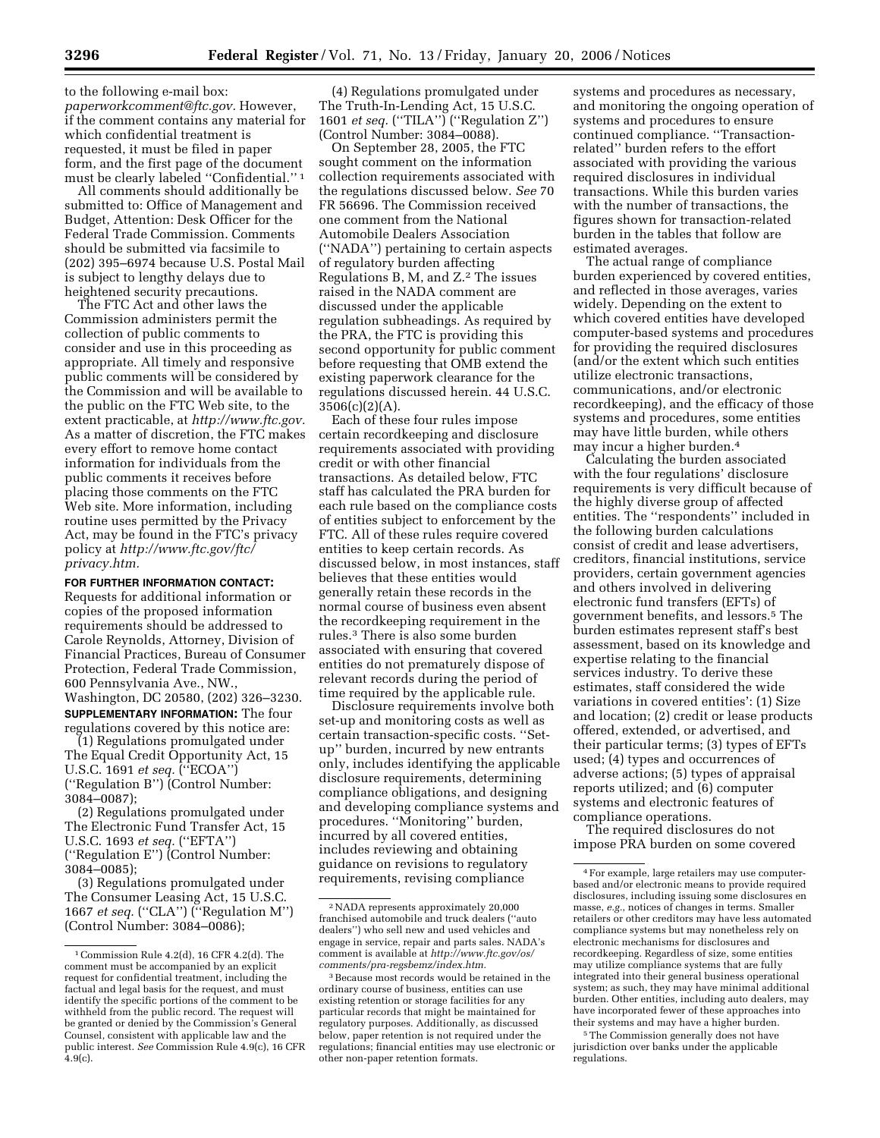to the following e-mail box: *paperworkcomment@ftc.gov.* However, if the comment contains any material for which confidential treatment is requested, it must be filed in paper form, and the first page of the document must be clearly labeled ''Confidential.'' 1

All comments should additionally be submitted to: Office of Management and Budget, Attention: Desk Officer for the Federal Trade Commission. Comments should be submitted via facsimile to (202) 395–6974 because U.S. Postal Mail is subject to lengthy delays due to heightened security precautions.

The FTC Act and other laws the Commission administers permit the collection of public comments to consider and use in this proceeding as appropriate. All timely and responsive public comments will be considered by the Commission and will be available to the public on the FTC Web site, to the extent practicable, at *http://www.ftc.gov.*  As a matter of discretion, the FTC makes every effort to remove home contact information for individuals from the public comments it receives before placing those comments on the FTC Web site. More information, including routine uses permitted by the Privacy Act, may be found in the FTC's privacy policy at *http://www.ftc.gov/ftc/ privacy.htm.* 

**FOR FURTHER INFORMATION CONTACT:**  Requests for additional information or copies of the proposed information requirements should be addressed to Carole Reynolds, Attorney, Division of Financial Practices, Bureau of Consumer Protection, Federal Trade Commission, 600 Pennsylvania Ave., NW., Washington, DC 20580, (202) 326–3230. **SUPPLEMENTARY INFORMATION:** The four regulations covered by this notice are:

(1) Regulations promulgated under The Equal Credit Opportunity Act, 15 U.S.C. 1691 *et seq.* (''ECOA'') (''Regulation B'') (Control Number: 3084–0087);

(2) Regulations promulgated under The Electronic Fund Transfer Act, 15 U.S.C. 1693 *et seq.* (''EFTA'') (''Regulation E'') (Control Number: 3084–0085);

(3) Regulations promulgated under The Consumer Leasing Act, 15 U.S.C. 1667 *et seq.* (''CLA'') (''Regulation M'') (Control Number: 3084–0086);

(4) Regulations promulgated under The Truth-In-Lending Act, 15 U.S.C. 1601 *et seq.* (''TILA'') (''Regulation Z'') (Control Number: 3084–0088).

On September 28, 2005, the FTC sought comment on the information collection requirements associated with the regulations discussed below. *See* 70 FR 56696. The Commission received one comment from the National Automobile Dealers Association (''NADA'') pertaining to certain aspects of regulatory burden affecting Regulations B, M, and Z.2 The issues raised in the NADA comment are discussed under the applicable regulation subheadings. As required by the PRA, the FTC is providing this second opportunity for public comment before requesting that OMB extend the existing paperwork clearance for the regulations discussed herein. 44 U.S.C. 3506(c)(2)(A).

Each of these four rules impose certain recordkeeping and disclosure requirements associated with providing credit or with other financial transactions. As detailed below, FTC staff has calculated the PRA burden for each rule based on the compliance costs of entities subject to enforcement by the FTC. All of these rules require covered entities to keep certain records. As discussed below, in most instances, staff believes that these entities would generally retain these records in the normal course of business even absent the recordkeeping requirement in the rules.3 There is also some burden associated with ensuring that covered entities do not prematurely dispose of relevant records during the period of time required by the applicable rule.

Disclosure requirements involve both set-up and monitoring costs as well as certain transaction-specific costs. ''Setup'' burden, incurred by new entrants only, includes identifying the applicable disclosure requirements, determining compliance obligations, and designing and developing compliance systems and procedures. ''Monitoring'' burden, incurred by all covered entities, includes reviewing and obtaining guidance on revisions to regulatory requirements, revising compliance

systems and procedures as necessary, and monitoring the ongoing operation of systems and procedures to ensure continued compliance. ''Transactionrelated'' burden refers to the effort associated with providing the various required disclosures in individual transactions. While this burden varies with the number of transactions, the figures shown for transaction-related burden in the tables that follow are estimated averages.

The actual range of compliance burden experienced by covered entities, and reflected in those averages, varies widely. Depending on the extent to which covered entities have developed computer-based systems and procedures for providing the required disclosures (and/or the extent which such entities utilize electronic transactions, communications, and/or electronic recordkeeping), and the efficacy of those systems and procedures, some entities may have little burden, while others may incur a higher burden.4

Calculating the burden associated with the four regulations' disclosure requirements is very difficult because of the highly diverse group of affected entities. The ''respondents'' included in the following burden calculations consist of credit and lease advertisers, creditors, financial institutions, service providers, certain government agencies and others involved in delivering electronic fund transfers (EFTs) of government benefits, and lessors.5 The burden estimates represent staff's best assessment, based on its knowledge and expertise relating to the financial services industry. To derive these estimates, staff considered the wide variations in covered entities': (1) Size and location; (2) credit or lease products offered, extended, or advertised, and their particular terms; (3) types of EFTs used; (4) types and occurrences of adverse actions; (5) types of appraisal reports utilized; and (6) computer systems and electronic features of compliance operations.

The required disclosures do not impose PRA burden on some covered

<sup>5</sup>The Commission generally does not have jurisdiction over banks under the applicable regulations.

<sup>1</sup>Commission Rule 4.2(d), 16 CFR 4.2(d). The comment must be accompanied by an explicit request for confidential treatment, including the factual and legal basis for the request, and must identify the specific portions of the comment to be withheld from the public record. The request will be granted or denied by the Commission's General Counsel, consistent with applicable law and the public interest. *See* Commission Rule 4.9(c), 16 CFR  $4.9(c)$ .

<sup>2</sup>NADA represents approximately 20,000 franchised automobile and truck dealers (''auto dealers'') who sell new and used vehicles and engage in service, repair and parts sales. NADA's comment is available at *http://www.ftc.gov/os/ comments/pra-regsbemz/index.htm.* 

<sup>3</sup>Because most records would be retained in the ordinary course of business, entities can use existing retention or storage facilities for any particular records that might be maintained for regulatory purposes. Additionally, as discussed below, paper retention is not required under the regulations; financial entities may use electronic or other non-paper retention formats.

<sup>4</sup>For example, large retailers may use computerbased and/or electronic means to provide required disclosures, including issuing some disclosures en masse, *e.g.*, notices of changes in terms. Smaller retailers or other creditors may have less automated compliance systems but may nonetheless rely on electronic mechanisms for disclosures and recordkeeping. Regardless of size, some entities may utilize compliance systems that are fully integrated into their general business operational system; as such, they may have minimal additional burden. Other entities, including auto dealers, may have incorporated fewer of these approaches into their systems and may have a higher burden.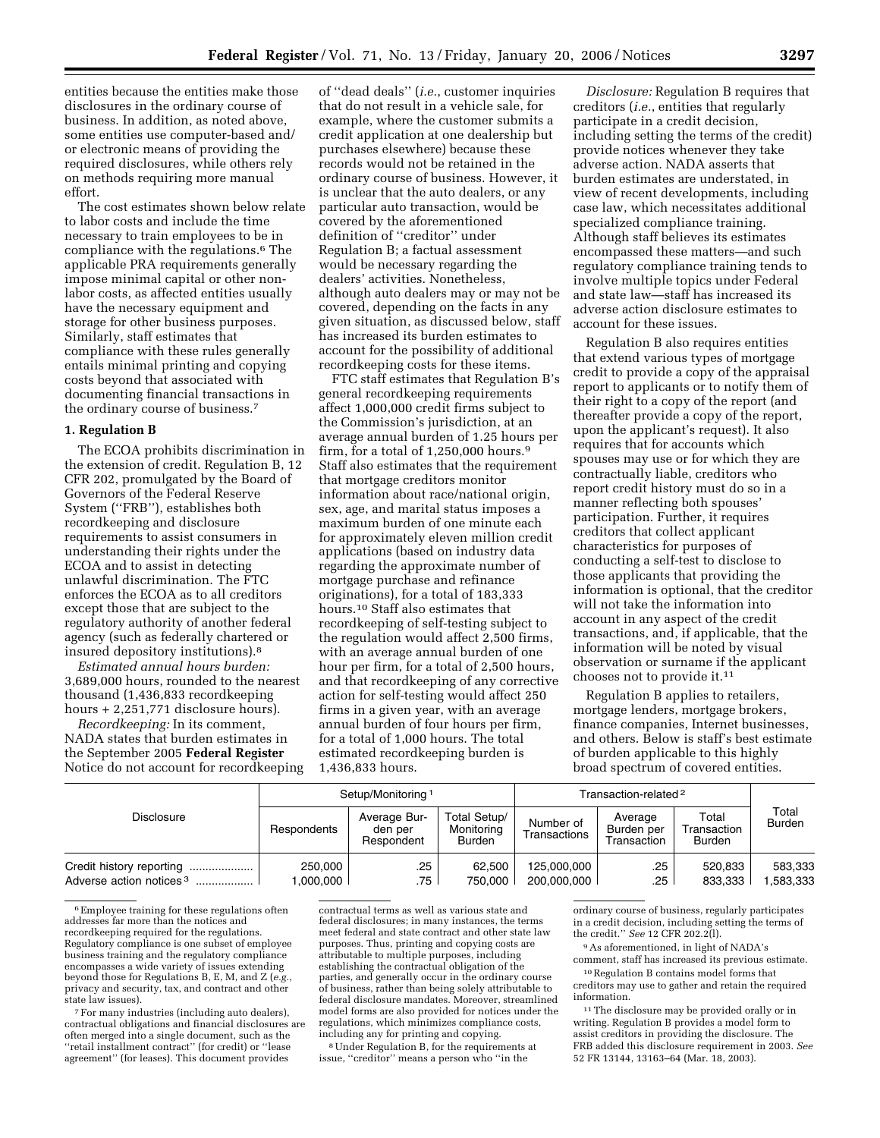entities because the entities make those disclosures in the ordinary course of business. In addition, as noted above, some entities use computer-based and/ or electronic means of providing the required disclosures, while others rely on methods requiring more manual effort.

The cost estimates shown below relate to labor costs and include the time necessary to train employees to be in compliance with the regulations.6 The applicable PRA requirements generally impose minimal capital or other nonlabor costs, as affected entities usually have the necessary equipment and storage for other business purposes. Similarly, staff estimates that compliance with these rules generally entails minimal printing and copying costs beyond that associated with documenting financial transactions in the ordinary course of business.7

#### **1. Regulation B**

The ECOA prohibits discrimination in the extension of credit. Regulation B, 12 CFR 202, promulgated by the Board of Governors of the Federal Reserve System (''FRB''), establishes both recordkeeping and disclosure requirements to assist consumers in understanding their rights under the ECOA and to assist in detecting unlawful discrimination. The FTC enforces the ECOA as to all creditors except those that are subject to the regulatory authority of another federal agency (such as federally chartered or insured depository institutions).8

*Estimated annual hours burden:*  3,689,000 hours, rounded to the nearest thousand (1,436,833 recordkeeping hours + 2,251,771 disclosure hours).

*Recordkeeping:* In its comment, NADA states that burden estimates in the September 2005 **Federal Register**  Notice do not account for recordkeeping

of ''dead deals'' (*i.e.*, customer inquiries that do not result in a vehicle sale, for example, where the customer submits a credit application at one dealership but purchases elsewhere) because these records would not be retained in the ordinary course of business. However, it is unclear that the auto dealers, or any particular auto transaction, would be covered by the aforementioned definition of ''creditor'' under Regulation B; a factual assessment would be necessary regarding the dealers' activities. Nonetheless, although auto dealers may or may not be covered, depending on the facts in any given situation, as discussed below, staff has increased its burden estimates to account for the possibility of additional recordkeeping costs for these items.

FTC staff estimates that Regulation B's general recordkeeping requirements affect 1,000,000 credit firms subject to the Commission's jurisdiction, at an average annual burden of 1.25 hours per firm, for a total of 1,250,000 hours.9 Staff also estimates that the requirement that mortgage creditors monitor information about race/national origin, sex, age, and marital status imposes a maximum burden of one minute each for approximately eleven million credit applications (based on industry data regarding the approximate number of mortgage purchase and refinance originations), for a total of 183,333 hours.10 Staff also estimates that recordkeeping of self-testing subject to the regulation would affect 2,500 firms, with an average annual burden of one hour per firm, for a total of 2,500 hours, and that recordkeeping of any corrective action for self-testing would affect 250 firms in a given year, with an average annual burden of four hours per firm, for a total of 1,000 hours. The total estimated recordkeeping burden is 1,436,833 hours.

*Disclosure:* Regulation B requires that creditors (*i.e.*, entities that regularly participate in a credit decision, including setting the terms of the credit) provide notices whenever they take adverse action. NADA asserts that burden estimates are understated, in view of recent developments, including case law, which necessitates additional specialized compliance training. Although staff believes its estimates encompassed these matters—and such regulatory compliance training tends to involve multiple topics under Federal and state law—staff has increased its adverse action disclosure estimates to account for these issues.

Regulation B also requires entities that extend various types of mortgage credit to provide a copy of the appraisal report to applicants or to notify them of their right to a copy of the report (and thereafter provide a copy of the report, upon the applicant's request). It also requires that for accounts which spouses may use or for which they are contractually liable, creditors who report credit history must do so in a manner reflecting both spouses' participation. Further, it requires creditors that collect applicant characteristics for purposes of conducting a self-test to disclose to those applicants that providing the information is optional, that the creditor will not take the information into account in any aspect of the credit transactions, and, if applicable, that the information will be noted by visual observation or surname if the applicant chooses not to provide it.11

Regulation B applies to retailers, mortgage lenders, mortgage brokers, finance companies, Internet businesses, and others. Below is staff's best estimate of burden applicable to this highly broad spectrum of covered entities.

|                                                                 |                     | Setup/Monitoring 1                    |                                      | Transaction-related <sup>2</sup> |                                      |                                       |                        |
|-----------------------------------------------------------------|---------------------|---------------------------------------|--------------------------------------|----------------------------------|--------------------------------------|---------------------------------------|------------------------|
| <b>Disclosure</b>                                               | Respondents         | Average Bur-<br>den per<br>Respondent | Total Setup/<br>Monitoring<br>Burden | Number of<br>Transactions        | Average<br>Burden per<br>Transaction | Total<br>Transaction<br><b>Burden</b> | Total<br><b>Burden</b> |
| Credit history reporting<br>Adverse action notices <sup>3</sup> | 250,000<br>000,000, | .25<br>.75                            | 62.500<br>750.000                    | 125,000,000<br>200.000.000       | .25<br>.25                           | 520,833<br>833.333                    | 583,333<br>.583,333    |

<sup>6</sup>Employee training for these regulations often addresses far more than the notices and recordkeeping required for the regulations. Regulatory compliance is one subset of employee business training and the regulatory compliance encompasses a wide variety of issues extending beyond those for Regulations B, E, M, and Z (*e.g.*, privacy and security, tax, and contract and other state law issues).

7For many industries (including auto dealers), contractual obligations and financial disclosures are often merged into a single document, such as the ''retail installment contract'' (for credit) or ''lease agreement'' (for leases). This document provides

contractual terms as well as various state and federal disclosures; in many instances, the terms meet federal and state contract and other state law purposes. Thus, printing and copying costs are attributable to multiple purposes, including establishing the contractual obligation of the parties, and generally occur in the ordinary course of business, rather than being solely attributable to federal disclosure mandates. Moreover, streamlined model forms are also provided for notices under the regulations, which minimizes compliance costs, including any for printing and copying.

8Under Regulation B, for the requirements at issue, ''creditor'' means a person who ''in the

ordinary course of business, regularly participates in a credit decision, including setting the terms of the credit.'' *See* 12 CFR 202.2(l).

9As aforementioned, in light of NADA's comment, staff has increased its previous estimate.

10Regulation B contains model forms that creditors may use to gather and retain the required information.

11The disclosure may be provided orally or in writing. Regulation B provides a model form to assist creditors in providing the disclosure. The FRB added this disclosure requirement in 2003. *See*  52 FR 13144, 13163–64 (Mar. 18, 2003).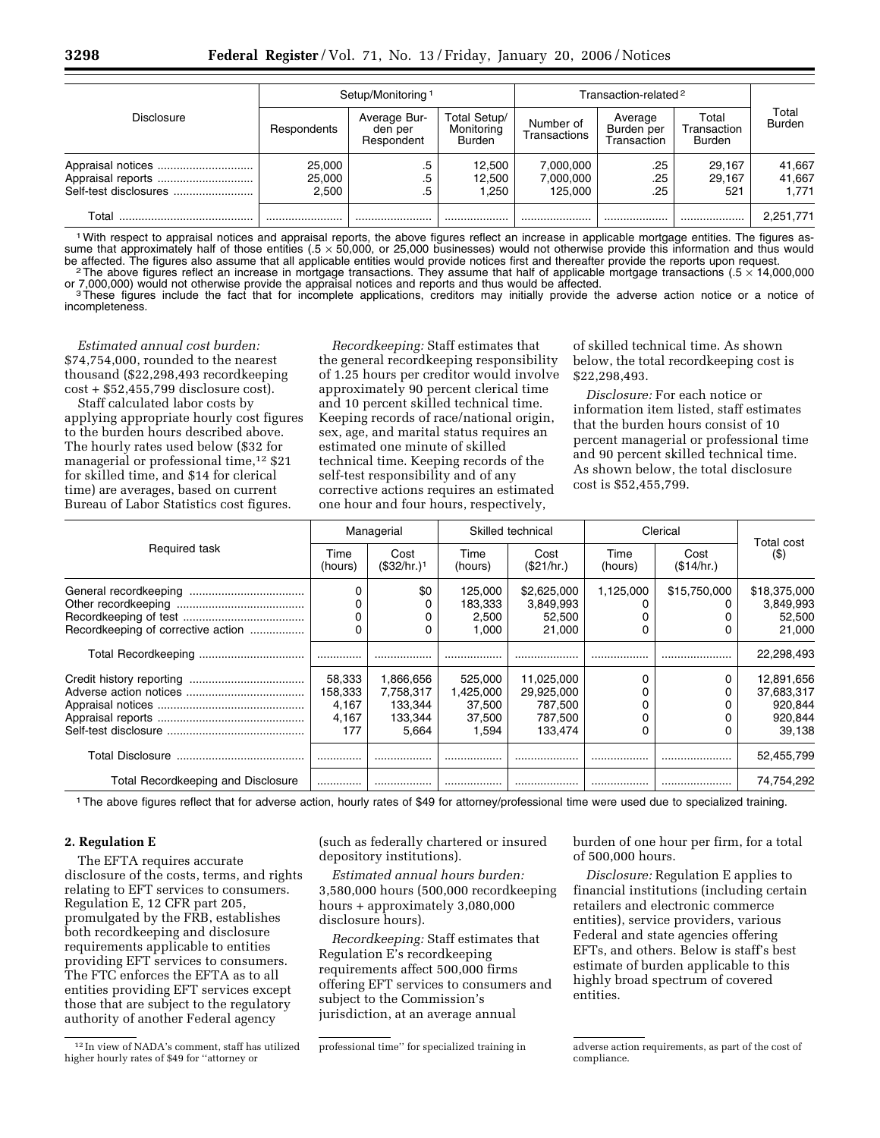|                       |                           | Setup/Monitoring 1                    |                                      | Transaction-related <sup>2</sup>  |                                      |                                       |                           |
|-----------------------|---------------------------|---------------------------------------|--------------------------------------|-----------------------------------|--------------------------------------|---------------------------------------|---------------------------|
| <b>Disclosure</b>     | Respondents               | Average Bur-<br>den per<br>Respondent | Total Setup/<br>Monitoring<br>Burden | Number of<br>Transactions         | Average<br>Burden per<br>Transaction | Total<br>Transaction<br><b>Burden</b> | Total<br><b>Burden</b>    |
| Self-test disclosures | 25,000<br>25,000<br>2.500 | .5<br>.5<br>.5                        | 12,500<br>12,500<br>1.250            | 7,000,000<br>7,000,000<br>125.000 | .25<br>.25<br>.25                    | 29,167<br>29.167<br>521               | 41,667<br>41.667<br>1,771 |
| Total                 |                           |                                       |                                      |                                   |                                      |                                       | 2,251,771                 |

1With respect to appraisal notices and appraisal reports, the above figures reflect an increase in applicable mortgage entities. The figures assume that approximately half of those entities (.5 × 50,000, or 25,000 businesses) would not otherwise provide this information and thus would<br>be affected. The figures also assume that all applicable entities would provide <sup>2</sup> The above figures reflect an increase in mortgage transactions. They assume that half of applicable mortgage transactions (.5 x 14,000,000 or 7,000,000) would not otherwise provide the appraisal notices and reports an

<sup>3</sup>These figures include the fact that for incomplete applications, creditors may initially provide the adverse action notice or a notice of incompleteness.

*Estimated annual cost burden:*  \$74,754,000, rounded to the nearest thousand (\$22,298,493 recordkeeping cost + \$52,455,799 disclosure cost).

Staff calculated labor costs by applying appropriate hourly cost figures to the burden hours described above. The hourly rates used below (\$32 for managerial or professional time,<sup>12</sup> \$21 for skilled time, and \$14 for clerical time) are averages, based on current Bureau of Labor Statistics cost figures.

*Recordkeeping:* Staff estimates that the general recordkeeping responsibility of 1.25 hours per creditor would involve approximately 90 percent clerical time and 10 percent skilled technical time. Keeping records of race/national origin, sex, age, and marital status requires an estimated one minute of skilled technical time. Keeping records of the self-test responsibility and of any corrective actions requires an estimated one hour and four hours, respectively,

of skilled technical time. As shown below, the total recordkeeping cost is \$22,298,493.

*Disclosure:* For each notice or information item listed, staff estimates that the burden hours consist of 10 percent managerial or professional time and 90 percent skilled technical time. As shown below, the total disclosure cost is \$52,455,799.

|                                    |                                            | Managerial                                            |                                                   | Skilled technical                                         | Clerical        |                    |                                                          |  |
|------------------------------------|--------------------------------------------|-------------------------------------------------------|---------------------------------------------------|-----------------------------------------------------------|-----------------|--------------------|----------------------------------------------------------|--|
| Required task                      | Time<br>(hours)                            | Cost<br>(\$32/hr.) <sup>1</sup>                       | Time<br>(hours)                                   | Cost<br>(\$21/hr.)                                        | Time<br>(hours) | Cost<br>(\$14/hr.) | Total cost<br>(S)                                        |  |
| Recordkeeping of corrective action |                                            | \$0<br>0                                              | 125,000<br>183,333<br>2,500<br>1.000              | \$2,625,000<br>3,849,993<br>52,500<br>21,000              | 1,125,000       | \$15,750,000       | \$18,375,000<br>3,849,993<br>52,500<br>21.000            |  |
|                                    | .                                          |                                                       |                                                   |                                                           |                 |                    | 22,298,493                                               |  |
|                                    | 58,333<br>158,333<br>4,167<br>4,167<br>177 | 1,866,656<br>7,758,317<br>133.344<br>133,344<br>5,664 | 525,000<br>1,425,000<br>37.500<br>37,500<br>1,594 | 11,025,000<br>29,925,000<br>787.500<br>787,500<br>133,474 |                 |                    | 12,891,656<br>37,683,317<br>920,844<br>920,844<br>39,138 |  |
| <b>Total Disclosure</b>            |                                            |                                                       |                                                   |                                                           |                 |                    | 52,455,799                                               |  |
| Total Recordkeeping and Disclosure |                                            |                                                       |                                                   |                                                           |                 |                    | 74,754,292                                               |  |

1The above figures reflect that for adverse action, hourly rates of \$49 for attorney/professional time were used due to specialized training.

## **2. Regulation E**

The EFTA requires accurate disclosure of the costs, terms, and rights relating to EFT services to consumers. Regulation E, 12 CFR part 205, promulgated by the FRB, establishes both recordkeeping and disclosure requirements applicable to entities providing EFT services to consumers. The FTC enforces the EFTA as to all entities providing EFT services except those that are subject to the regulatory authority of another Federal agency

(such as federally chartered or insured depository institutions).

*Estimated annual hours burden:*  3,580,000 hours (500,000 recordkeeping hours + approximately 3,080,000 disclosure hours).

*Recordkeeping:* Staff estimates that Regulation E's recordkeeping requirements affect 500,000 firms offering EFT services to consumers and subject to the Commission's jurisdiction, at an average annual

burden of one hour per firm, for a total of 500,000 hours.

*Disclosure:* Regulation E applies to financial institutions (including certain retailers and electronic commerce entities), service providers, various Federal and state agencies offering EFTs, and others. Below is staff's best estimate of burden applicable to this highly broad spectrum of covered entities.

<sup>12</sup> In view of NADA's comment, staff has utilized higher hourly rates of \$49 for ''attorney or

professional time'' for specialized training in adverse action requirements, as part of the cost of compliance.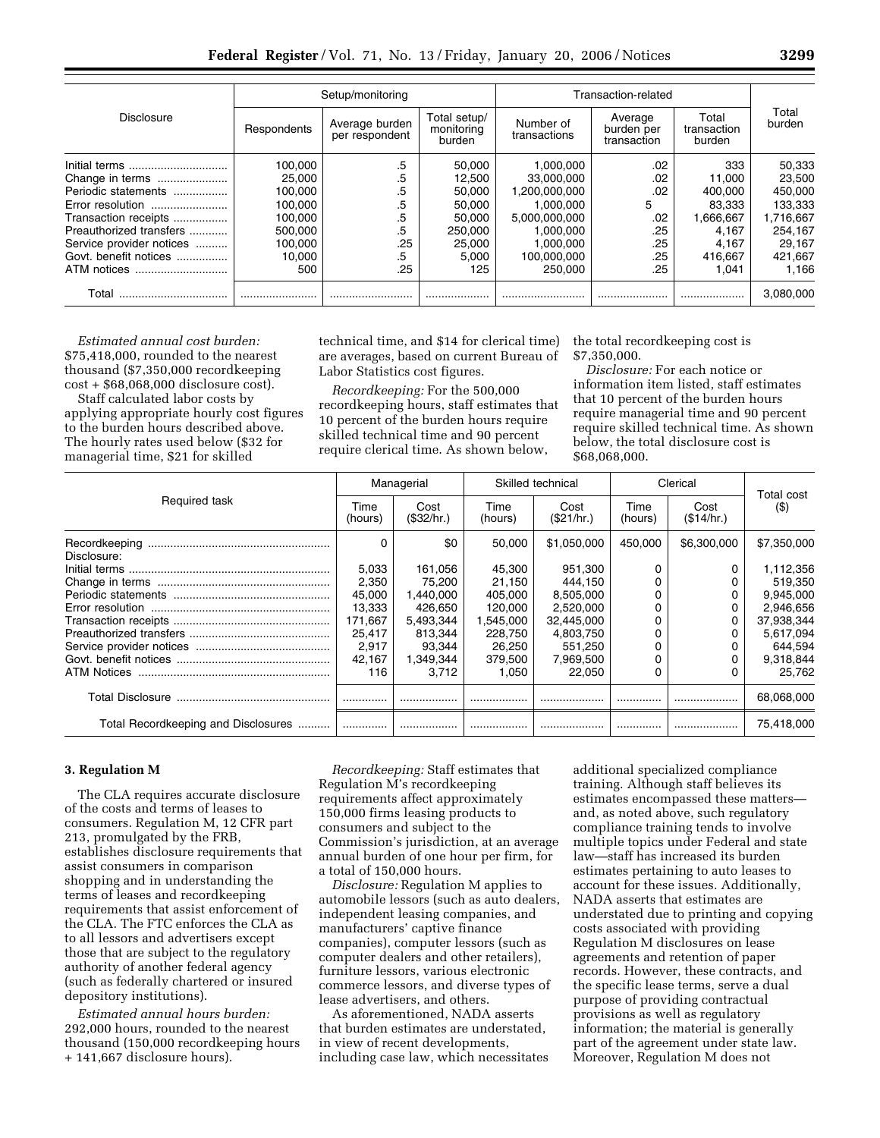**Federal Register** / Vol. 71, No. 13 / Friday, January 20, 2006 / Notices **3299** 

|                          |             | Setup/monitoring                 |                                      | Transaction-related       |                                      |                                |                 |
|--------------------------|-------------|----------------------------------|--------------------------------------|---------------------------|--------------------------------------|--------------------------------|-----------------|
| Disclosure               | Respondents | Average burden<br>per respondent | Total setup/<br>monitoring<br>burden | Number of<br>transactions | Average<br>burden per<br>transaction | Total<br>transaction<br>burden | Total<br>burden |
| Initial terms            | 100,000     | .5                               | 50,000                               | 1,000,000                 | .02                                  | 333                            | 50,333          |
| Change in terms          | 25,000      | .5                               | 12,500                               | 33,000,000                | .02                                  | 11,000                         | 23,500          |
| Periodic statements      | 100,000     | .5                               | 50,000                               | 1,200,000,000             | .02                                  | 400,000                        | 450,000         |
| Error resolution         | 100.000     | .5                               | 50,000                               | 1.000.000                 | 5                                    | 83.333                         | 133.333         |
| Transaction receipts     | 100.000     | .5                               | 50.000                               | 5.000.000.000             | .02                                  | 1.666.667                      | 1,716,667       |
| Preauthorized transfers  | 500.000     | .5                               | 250,000                              | 1.000.000                 | .25                                  | 4.167                          | 254.167         |
| Service provider notices | 100.000     | .25                              | 25,000                               | 1,000,000                 | .25                                  | 4.167                          | 29.167          |
| Govt. benefit notices    | 10.000      | .5                               | 5.000                                | 100,000,000               | .25                                  | 416.667                        | 421.667         |
| ATM notices              | 500         | .25                              | 125                                  | 250.000                   | .25                                  | 1.041                          | 1.166           |
| Total<br>                |             |                                  |                                      |                           |                                      |                                | 3,080,000       |

*Estimated annual cost burden:*  \$75,418,000, rounded to the nearest thousand (\$7,350,000 recordkeeping cost + \$68,068,000 disclosure cost).

Staff calculated labor costs by applying appropriate hourly cost figures to the burden hours described above. The hourly rates used below (\$32 for managerial time, \$21 for skilled

technical time, and \$14 for clerical time) are averages, based on current Bureau of Labor Statistics cost figures.

*Recordkeeping:* For the 500,000 recordkeeping hours, staff estimates that 10 percent of the burden hours require skilled technical time and 90 percent require clerical time. As shown below,

the total recordkeeping cost is \$7,350,000.

*Disclosure:* For each notice or information item listed, staff estimates that 10 percent of the burden hours require managerial time and 90 percent require skilled technical time. As shown below, the total disclosure cost is \$68,068,000.

|                                     |                 | Managerial         |                 | Skilled technical  | Clerical        | Total cost         |             |
|-------------------------------------|-----------------|--------------------|-----------------|--------------------|-----------------|--------------------|-------------|
| Reguired task                       | Time<br>(hours) | Cost<br>(\$32/hr.) | Time<br>(hours) | Cost<br>(\$21/hr.) | Time<br>(hours) | Cost<br>(\$14/hr.) | (\$)        |
| Recordkeeping<br>Disclosure:        |                 | \$0                | 50,000          | \$1,050,000        | 450.000         | \$6,300,000        | \$7,350,000 |
|                                     | 5,033           | 161.056            | 45.300          | 951.300            |                 |                    | 1,112,356   |
|                                     | 2,350           | 75,200             | 21,150          | 444.150            |                 |                    | 519,350     |
|                                     | 45.000          | 1.440.000          | 405.000         | 8,505,000          |                 |                    | 9.945.000   |
|                                     | 13,333          | 426.650            | 120,000         | 2,520,000          |                 |                    | 2,946,656   |
|                                     | 171.667         | 5,493,344          | 1,545,000       | 32,445,000         |                 |                    | 37,938,344  |
|                                     | 25.417          | 813.344            | 228,750         | 4,803,750          |                 |                    | 5,617,094   |
|                                     | 2,917           | 93.344             | 26,250          | 551.250            |                 |                    | 644.594     |
|                                     | 42,167          | 1,349,344          | 379,500         | 7,969,500          |                 |                    | 9,318,844   |
| ATM Notices                         | 116             | 3.712              | 1.050           | 22,050             |                 | 0                  | 25.762      |
|                                     |                 |                    |                 |                    | .               |                    | 68,068,000  |
| Total Recordkeeping and Disclosures |                 |                    |                 |                    |                 |                    | 75,418,000  |

### **3. Regulation M**

The CLA requires accurate disclosure of the costs and terms of leases to consumers. Regulation M, 12 CFR part 213, promulgated by the FRB, establishes disclosure requirements that assist consumers in comparison shopping and in understanding the terms of leases and recordkeeping requirements that assist enforcement of the CLA. The FTC enforces the CLA as to all lessors and advertisers except those that are subject to the regulatory authority of another federal agency (such as federally chartered or insured depository institutions).

*Estimated annual hours burden:*  292,000 hours, rounded to the nearest thousand (150,000 recordkeeping hours + 141,667 disclosure hours).

*Recordkeeping:* Staff estimates that Regulation M's recordkeeping requirements affect approximately 150,000 firms leasing products to consumers and subject to the Commission's jurisdiction, at an average annual burden of one hour per firm, for a total of 150,000 hours.

*Disclosure:* Regulation M applies to automobile lessors (such as auto dealers, independent leasing companies, and manufacturers' captive finance companies), computer lessors (such as computer dealers and other retailers), furniture lessors, various electronic commerce lessors, and diverse types of lease advertisers, and others.

As aforementioned, NADA asserts that burden estimates are understated, in view of recent developments, including case law, which necessitates

additional specialized compliance training. Although staff believes its estimates encompassed these matters and, as noted above, such regulatory compliance training tends to involve multiple topics under Federal and state law—staff has increased its burden estimates pertaining to auto leases to account for these issues. Additionally, NADA asserts that estimates are understated due to printing and copying costs associated with providing Regulation M disclosures on lease agreements and retention of paper records. However, these contracts, and the specific lease terms, serve a dual purpose of providing contractual provisions as well as regulatory information; the material is generally part of the agreement under state law. Moreover, Regulation M does not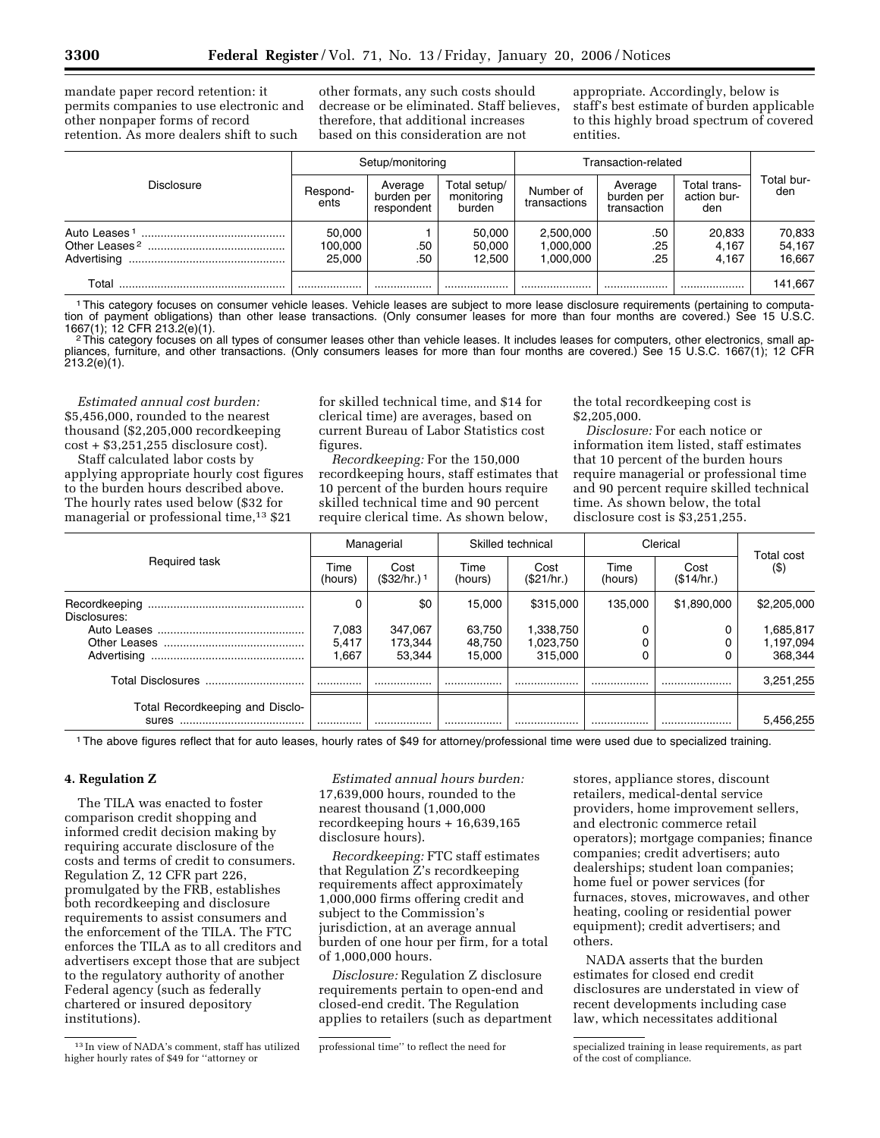mandate paper record retention: it permits companies to use electronic and other nonpaper forms of record retention. As more dealers shift to such

other formats, any such costs should decrease or be eliminated. Staff believes, therefore, that additional increases based on this consideration are not

appropriate. Accordingly, below is staff's best estimate of burden applicable to this highly broad spectrum of covered entities.

|                                                                      |                             | Setup/monitoring                    |                                      | Transaction-related                 |                                      |                                    |                            |
|----------------------------------------------------------------------|-----------------------------|-------------------------------------|--------------------------------------|-------------------------------------|--------------------------------------|------------------------------------|----------------------------|
| Disclosure                                                           | Respond-<br>ents            | Average<br>burden per<br>respondent | Total setup/<br>monitoring<br>burden | Number of<br>transactions           | Average<br>burden per<br>transaction | Total trans-<br>action bur-<br>den | Total bur-<br>den          |
| Auto Leases <sup>1</sup><br>Other Leases <sup>2</sup><br>Advertising | 50,000<br>100,000<br>25,000 | .50<br>.50                          | 50,000<br>50,000<br>12.500           | 2,500,000<br>1,000,000<br>1.000.000 | .50<br>.25<br>.25                    | 20,833<br>4,167<br>4.167           | 70,833<br>54,167<br>16.667 |
| Total                                                                | .                           |                                     |                                      |                                     |                                      |                                    | 141,667                    |

1This category focuses on consumer vehicle leases. Vehicle leases are subject to more lease disclosure requirements (pertaining to computation of payment obligations) than other lease transactions. (Only consumer leases for more than four months are covered.) See 15 U.S.C.<br>1667(1); 12 CFR 213.2(e)(1).

<sup>2</sup>This category focuses on all types of consumer leases other than vehicle leases. It includes leases for computers, other electronics, small appliances, furniture, and other transactions. (Only consumers leases for more than four months are covered.) See 15 U.S.C. 1667(1); 12 CFR 213.2(e)(1).

*Estimated annual cost burden:*  \$5,456,000, rounded to the nearest thousand (\$2,205,000 recordkeeping cost + \$3,251,255 disclosure cost).

Staff calculated labor costs by applying appropriate hourly cost figures to the burden hours described above. The hourly rates used below (\$32 for managerial or professional time,<sup>13</sup> \$21

for skilled technical time, and \$14 for clerical time) are averages, based on current Bureau of Labor Statistics cost figures.

*Recordkeeping:* For the 150,000 recordkeeping hours, staff estimates that 10 percent of the burden hours require skilled technical time and 90 percent require clerical time. As shown below,

the total recordkeeping cost is \$2,205,000.

*Disclosure:* For each notice or information item listed, staff estimates that 10 percent of the burden hours require managerial or professional time and 90 percent require skilled technical time. As shown below, the total disclosure cost is \$3,251,255.

|                                          | Managerial      |                                  |                 | Skilled technical  | Clerical        |                    |                      |  |
|------------------------------------------|-----------------|----------------------------------|-----------------|--------------------|-----------------|--------------------|----------------------|--|
| Required task                            | Time<br>(hours) | Cost<br>$($32/hr.)$ <sup>1</sup> | Time<br>(hours) | Cost<br>(\$21/hr.) | Time<br>(hours) | Cost<br>(\$14/hr.) | Total cost<br>$($ \$ |  |
| Recordkeeping<br>Disclosures:            |                 | \$0                              | 15.000          | \$315,000          | 135.000         | \$1,890,000        | \$2,205,000          |  |
|                                          | 7,083           | 347,067                          | 63,750          | 1,338,750          |                 |                    | 1,685,817            |  |
|                                          | 5,417           | 173,344                          | 48,750          | 1,023,750          |                 |                    | 1,197,094            |  |
|                                          | 1.667           | 53.344                           | 15.000          | 315,000            |                 |                    | 368,344              |  |
| Total Disclosures                        |                 |                                  |                 |                    |                 |                    | 3,251,255            |  |
| Total Recordkeeping and Disclo-<br>sures |                 |                                  |                 |                    |                 |                    | 5,456,255            |  |

1The above figures reflect that for auto leases, hourly rates of \$49 for attorney/professional time were used due to specialized training.

# **4. Regulation Z**

The TILA was enacted to foster comparison credit shopping and informed credit decision making by requiring accurate disclosure of the costs and terms of credit to consumers. Regulation Z, 12 CFR part 226, promulgated by the FRB, establishes both recordkeeping and disclosure requirements to assist consumers and the enforcement of the TILA. The FTC enforces the TILA as to all creditors and advertisers except those that are subject to the regulatory authority of another Federal agency (such as federally chartered or insured depository institutions).

*Estimated annual hours burden:*  17,639,000 hours, rounded to the nearest thousand (1,000,000 recordkeeping hours + 16,639,165 disclosure hours).

*Recordkeeping:* FTC staff estimates that Regulation Z's recordkeeping requirements affect approximately 1,000,000 firms offering credit and subject to the Commission's jurisdiction, at an average annual burden of one hour per firm, for a total of 1,000,000 hours.

*Disclosure:* Regulation Z disclosure requirements pertain to open-end and closed-end credit. The Regulation applies to retailers (such as department

stores, appliance stores, discount retailers, medical-dental service providers, home improvement sellers, and electronic commerce retail operators); mortgage companies; finance companies; credit advertisers; auto dealerships; student loan companies; home fuel or power services (for furnaces, stoves, microwaves, and other heating, cooling or residential power equipment); credit advertisers; and others.

NADA asserts that the burden estimates for closed end credit disclosures are understated in view of recent developments including case law, which necessitates additional

<sup>13</sup> In view of NADA's comment, staff has utilized higher hourly rates of \$49 for ''attorney or

professional time'' to reflect the need for specialized training in lease requirements, as part of the cost of compliance.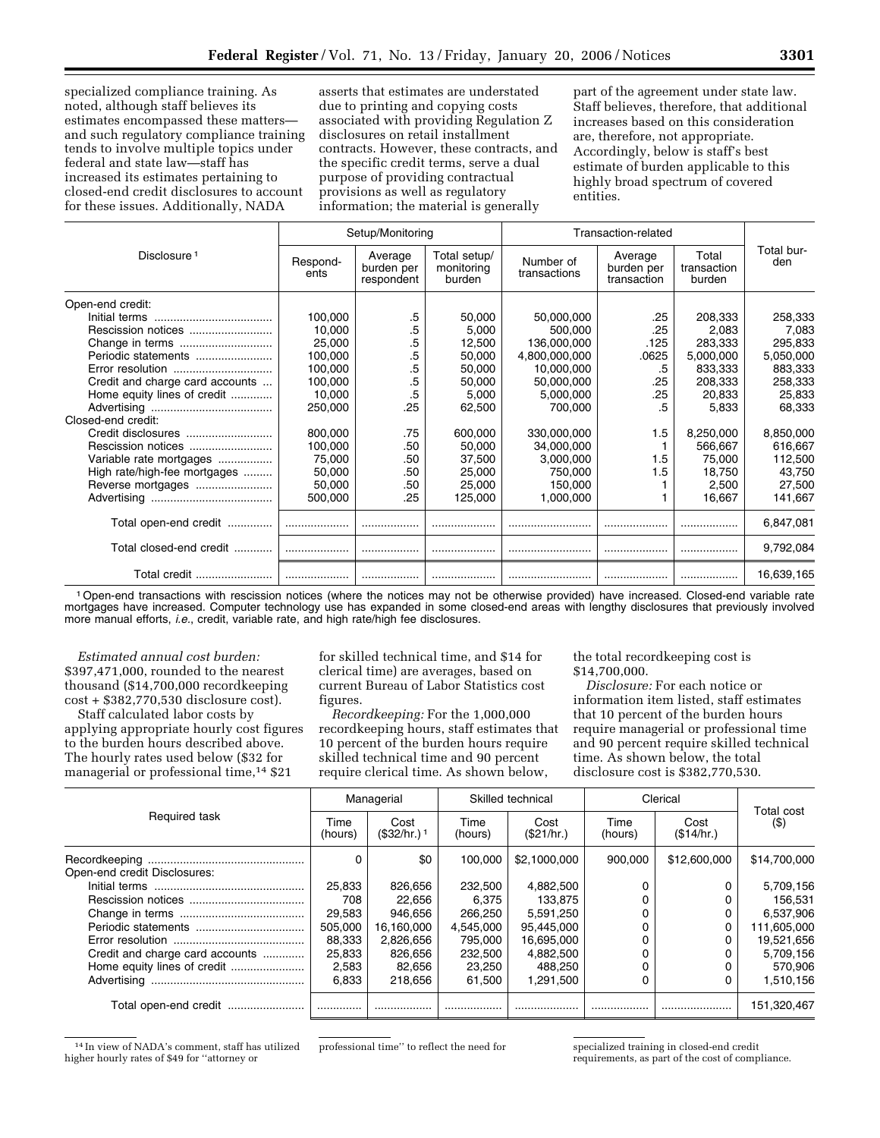specialized compliance training. As noted, although staff believes its estimates encompassed these matters and such regulatory compliance training tends to involve multiple topics under federal and state law—staff has increased its estimates pertaining to closed-end credit disclosures to account for these issues. Additionally, NADA

asserts that estimates are understated due to printing and copying costs associated with providing Regulation Z disclosures on retail installment contracts. However, these contracts, and the specific credit terms, serve a dual purpose of providing contractual provisions as well as regulatory information; the material is generally

part of the agreement under state law. Staff believes, therefore, that additional increases based on this consideration are, therefore, not appropriate. Accordingly, below is staff's best estimate of burden applicable to this highly broad spectrum of covered entities.

|                                 |                  | Setup/Monitoring                    |                                      | Transaction-related       |                                      |                                |                   |
|---------------------------------|------------------|-------------------------------------|--------------------------------------|---------------------------|--------------------------------------|--------------------------------|-------------------|
| Disclosure <sup>1</sup>         | Respond-<br>ents | Average<br>burden per<br>respondent | Total setup/<br>monitoring<br>burden | Number of<br>transactions | Average<br>burden per<br>transaction | Total<br>transaction<br>burden | Total bur-<br>den |
| Open-end credit:                |                  |                                     |                                      |                           |                                      |                                |                   |
|                                 | 100,000          | .5                                  | 50,000                               | 50,000,000                | .25                                  | 208,333                        | 258,333           |
|                                 | 10,000           | .5                                  | 5,000                                | 500,000                   | .25                                  | 2,083                          | 7,083             |
| Change in terms                 | 25,000           | .5                                  | 12,500                               | 136,000,000               | .125                                 | 283,333                        | 295,833           |
| Periodic statements             | 100,000          | .5                                  | 50,000                               | 4,800,000,000             | .0625                                | 5,000,000                      | 5,050,000         |
|                                 | 100,000          | .5                                  | 50,000                               | 10,000,000                | .5                                   | 833,333                        | 883,333           |
| Credit and charge card accounts | 100,000          | .5                                  | 50,000                               | 50,000,000                | .25                                  | 208,333                        | 258,333           |
| Home equity lines of credit     | 10,000           | .5                                  | 5,000                                | 5,000,000                 | .25                                  | 20,833                         | 25,833            |
|                                 | 250,000          | .25                                 | 62,500                               | 700,000                   | .5                                   | 5,833                          | 68,333            |
| Closed-end credit:              |                  |                                     |                                      |                           |                                      |                                |                   |
|                                 | 800,000          | .75                                 | 600,000                              | 330,000,000               | 1.5                                  | 8,250,000                      | 8,850,000         |
| Rescission notices              | 100,000          | .50                                 | 50,000                               | 34,000,000                |                                      | 566,667                        | 616,667           |
| Variable rate mortgages         | 75,000           | .50                                 | 37,500                               | 3,000,000                 | 1.5                                  | 75,000                         | 112,500           |
| High rate/high-fee mortgages    | 50,000           | .50                                 | 25,000                               | 750,000                   | 1.5                                  | 18,750                         | 43,750            |
| Reverse mortgages               | 50,000           | .50                                 | 25,000                               | 150,000                   |                                      | 2,500                          | 27,500            |
|                                 | 500,000          | .25                                 | 125,000                              | 1,000,000                 |                                      | 16,667                         | 141,667           |
| Total open-end credit           |                  |                                     |                                      |                           |                                      |                                | 6,847,081         |
| Total closed-end credit         |                  |                                     |                                      |                           |                                      |                                | 9,792,084         |
| Total credit                    |                  |                                     |                                      |                           |                                      |                                | 16,639,165        |

1Open-end transactions with rescission notices (where the notices may not be otherwise provided) have increased. Closed-end variable rate mortgages have increased. Computer technology use has expanded in some closed-end areas with lengthy disclosures that previously involved more manual efforts, *i.e.*, credit, variable rate, and high rate/high fee disclosures.

*Estimated annual cost burden:*  \$397,471,000, rounded to the nearest thousand (\$14,700,000 recordkeeping cost + \$382,770,530 disclosure cost).

Staff calculated labor costs by applying appropriate hourly cost figures to the burden hours described above. The hourly rates used below (\$32 for managerial or professional time,<sup>14</sup> \$21

for skilled technical time, and \$14 for clerical time) are averages, based on current Bureau of Labor Statistics cost figures.

*Recordkeeping:* For the 1,000,000 recordkeeping hours, staff estimates that 10 percent of the burden hours require skilled technical time and 90 percent require clerical time. As shown below,

the total recordkeeping cost is \$14,700,000.

*Disclosure:* For each notice or information item listed, staff estimates that 10 percent of the burden hours require managerial or professional time and 90 percent require skilled technical time. As shown below, the total disclosure cost is \$382,770,530.

|                                 |                 | Managerial                       | Skilled technical |                    | Clerical        |                    | Total cost   |  |
|---------------------------------|-----------------|----------------------------------|-------------------|--------------------|-----------------|--------------------|--------------|--|
| Required task                   | Time<br>(hours) | Cost<br>$($32/hr.)$ <sup>1</sup> | Time<br>(hours)   | Cost<br>(\$21/hr.) | Time<br>(hours) | Cost<br>(\$14/hr.) | (5)          |  |
|                                 | 0               | \$0                              | 100.000           | \$2,1000,000       | 900,000         | \$12,600,000       | \$14,700,000 |  |
| Open-end credit Disclosures:    |                 |                                  |                   |                    |                 |                    |              |  |
|                                 | 25.833          | 826,656                          | 232.500           | 4,882,500          |                 |                    | 5,709,156    |  |
|                                 | 708             | 22.656                           | 6.375             | 133.875            |                 |                    | 156.531      |  |
|                                 | 29,583          | 946.656                          | 266.250           | 5,591,250          |                 |                    | 6,537,906    |  |
|                                 | 505,000         | 16,160,000                       | 4,545,000         | 95,445,000         |                 | 0                  | 111,605,000  |  |
|                                 | 88,333          | 2,826,656                        | 795.000           | 16,695,000         |                 |                    | 19,521,656   |  |
| Credit and charge card accounts | 25,833          | 826.656                          | 232,500           | 4,882,500          |                 |                    | 5,709,156    |  |
|                                 | 2,583           | 82.656                           | 23,250            | 488.250            |                 |                    | 570,906      |  |
|                                 | 6.833           | 218.656                          | 61.500            | 1,291,500          | 0               |                    | 1,510,156    |  |
|                                 | .               |                                  |                   |                    |                 |                    | 151,320,467  |  |

14 In view of NADA's comment, staff has utilized higher hourly rates of \$49 for ''attorney or

professional time'' to reflect the need for specialized training in closed-end credit requirements, as part of the cost of compliance.